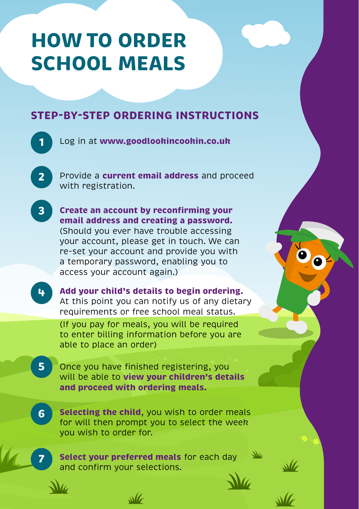## **HOW TO ORDER SCHOOL MEALS**

## **STEP-BY-STEP ORDERING INSTRUCTIONS**

**1** Log in at **www.goodlookincookin.co.uk**  Provide a **current email address** and proceed with registration. **2 Create an account by reconfirming your email address and creating a password.** (Should you ever have trouble accessing your account, please get in touch. We can re-set your account and provide you with a temporary password, enabling you to access your account again.) **3 Add your child's details to begin ordering.**  At this point you can notify us of any dietary requirements or free school meal status. (If you pay for meals, you will be required to enter billing information before you are able to place an order) **4** Once you have finished registering, you will be able to **view your children's details and proceed with ordering meals. 5 Selecting the child**, you wish to order meals for will then prompt you to select the week you wish to order for. **6 Select your preferred meals** for each day and confirm your selections. **7**

 $\mathcal{M}$